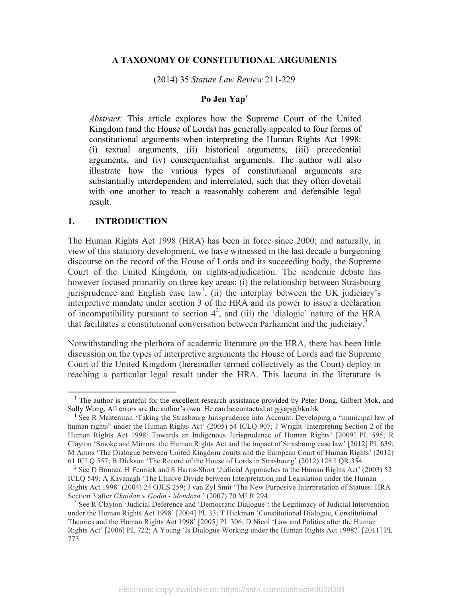#### **A TAXONOMY OF CONSTITUTIONAL ARGUMENTS**

(2014) 35 *Statute Law Review* 211-229

#### **Po Jen Yap**†

*Abstract:* This article explores how the Supreme Court of the United Kingdom (and the House of Lords) has generally appealed to four forms of constitutional arguments when interpreting the Human Rights Act 1998: (i) textual arguments, (ii) historical arguments, (iii) precedential arguments, and (iv) consequentialist arguments. The author will also illustrate how the various types of constitutional arguments are substantially interdependent and interrelated, such that they often dovetail with one another to reach a reasonably coherent and defensible legal result.

#### **1. INTRODUCTION**

The Human Rights Act 1998 (HRA) has been in force since 2000; and naturally, in view of this statutory development, we have witnessed in the last decade a burgeoning discourse on the record of the House of Lords and its succeeding body, the Supreme Court of the United Kingdom, on rights-adjudication. The academic debate has however focused primarily on three key areas: (i) the relationship between Strasbourg jurisprudence and English case  $law<sup>1</sup>$ , (ii) the interplay between the UK judiciary's interpretive mandate under section 3 of the HRA and its power to issue a declaration of incompatibility pursuant to section  $4^2$ , and (iii) the 'dialogic' nature of the HRA that facilitates a constitutional conversation between Parliament and the judiciary.<sup>3</sup>

Notwithstanding the plethora of academic literature on the HRA, there has been little discussion on the types of interpretive arguments the House of Lords and the Supreme Court of the United Kingdom (hereinafter termed collectively as the Court) deploy in reaching a particular legal result under the HRA. This lacuna in the literature is

 † The author is grateful for the excellent research assistance provided by Peter Dong, Gilbert Mok, and Sally Wong. All errors are the author's own. He can be contacted at pjyap@hku.hk  $1$  See R Masterman 'Taking the Strasbourg Jurisprudence into Account: Developing a "municipal law of

human rights" under the Human Rights Act' (2005) 54 ICLQ 907; J Wright 'Interpreting Section 2 of the Human Rights Act 1998: Towards an Indigenous Jurisprudence of Human Rights' [2009] PL 595; R Clayton 'Smoke and Mirrors: the Human Rights Act and the impact of Strasbourg case law' [2012] PL 639; M Amos 'The Dialogue between United Kingdom courts and the European Court of Human Rights' (2012)<br>61 ICLQ 557; B Dickson 'The Record of the House of Lords in Strasbourg' (2012) 128 LQR 354.

<sup>&</sup>lt;sup>2</sup> See D Bonner, H Fennick and S Harris-Short 'Judicial Approaches to the Human Rights Act' (2003) 52 ICLQ 549; A Kavanagh 'The Elusive Divide between Interpretation and Legislation under the Human Rights Act 1998' (2004) 24 OJLS 259; J van Zyl Smit 'The New Purposive Interpretation of Statues: HRA Section 3 after *Ghaidan* v *Godin* - *Mendoza* ' (2007) 70 MLR 294.<br><sup>3</sup> See R Clayton 'Judicial Deference and 'Democratic Dialogue': the Legitimacy of Judicial Intervention

under the Human Rights Act 1998' [2004] PL 33; T Hickman 'Constitutional Dialogue, Constitutional Theories and the Human Rights Act 1998' [2005] PL 306; D Nicol 'Law and Politics after the Human Rights Act' [2006] PL 722; A Young 'Is Dialogue Working under the Human Rights Act 1998?' [2011] PL 773.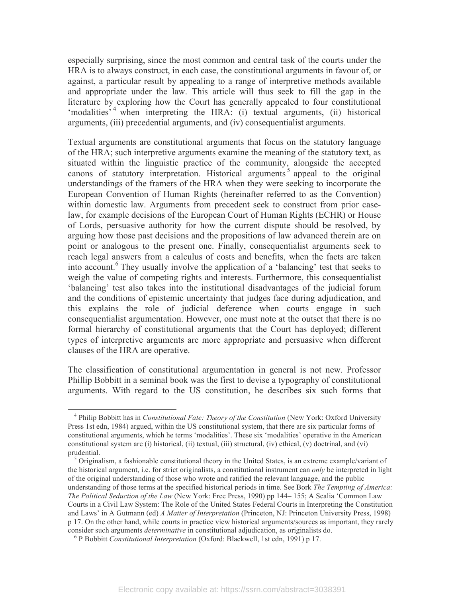especially surprising, since the most common and central task of the courts under the HRA is to always construct, in each case, the constitutional arguments in favour of, or against, a particular result by appealing to a range of interpretive methods available and appropriate under the law. This article will thus seek to fill the gap in the literature by exploring how the Court has generally appealed to four constitutional 'modalities<sup>'4</sup> when interpreting the HRA: (i) textual arguments, (ii) historical arguments, (iii) precedential arguments, and (iv) consequentialist arguments.

Textual arguments are constitutional arguments that focus on the statutory language of the HRA; such interpretive arguments examine the meaning of the statutory text, as situated within the linguistic practice of the community, alongside the accepted canons of statutory interpretation. Historical arguments<sup>5</sup> appeal to the original understandings of the framers of the HRA when they were seeking to incorporate the European Convention of Human Rights (hereinafter referred to as the Convention) within domestic law. Arguments from precedent seek to construct from prior caselaw, for example decisions of the European Court of Human Rights (ECHR) or House of Lords, persuasive authority for how the current dispute should be resolved, by arguing how those past decisions and the propositions of law advanced therein are on point or analogous to the present one. Finally, consequentialist arguments seek to reach legal answers from a calculus of costs and benefits, when the facts are taken into account.<sup>6</sup> They usually involve the application of a 'balancing' test that seeks to weigh the value of competing rights and interests. Furthermore, this consequentialist 'balancing' test also takes into the institutional disadvantages of the judicial forum and the conditions of epistemic uncertainty that judges face during adjudication, and this explains the role of judicial deference when courts engage in such consequentialist argumentation. However, one must note at the outset that there is no formal hierarchy of constitutional arguments that the Court has deployed; different types of interpretive arguments are more appropriate and persuasive when different clauses of the HRA are operative.

The classification of constitutional argumentation in general is not new. Professor Phillip Bobbitt in a seminal book was the first to devise a typography of constitutional arguments. With regard to the US constitution, he describes six such forms that

<sup>4</sup> Philip Bobbitt has in *Constitutional Fate: Theory of the Constitution* (New York: Oxford University Press 1st edn, 1984) argued, within the US constitutional system, that there are six particular forms of constitutional arguments, which he terms 'modalities'. These six 'modalities' operative in the American constitutional system are (i) historical, (ii) textual, (iii) structural, (iv) ethical, (v) doctrinal, and (vi) prudential.<br><sup>5</sup> Originalism, a fashionable constitutional theory in the United States, is an extreme example/variant of

the historical argument, i.e. for strict originalists, a constitutional instrument can *only* be interpreted in light of the original understanding of those who wrote and ratified the relevant language, and the public understanding of those terms at the specified historical periods in time. See Bork *The Tempting of America: The Political Seduction of the Law* (New York: Free Press, 1990) pp 144– 155; A Scalia 'Common Law Courts in a Civil Law System: The Role of the United States Federal Courts in Interpreting the Constitution

and Laws' in A Gutmann (ed) *A Matter of Interpretation* (Princeton, NJ: Princeton University Press, 1998) p 17. On the other hand, while courts in practice view historical arguments/sources as important, they rarely consider such arguments *determinative* in constitutional adjudication, as originalists do. <sup>6</sup> P Bobbitt *Constitutional Interpretation* (Oxford: Blackwell, 1st edn, 1991) p 17.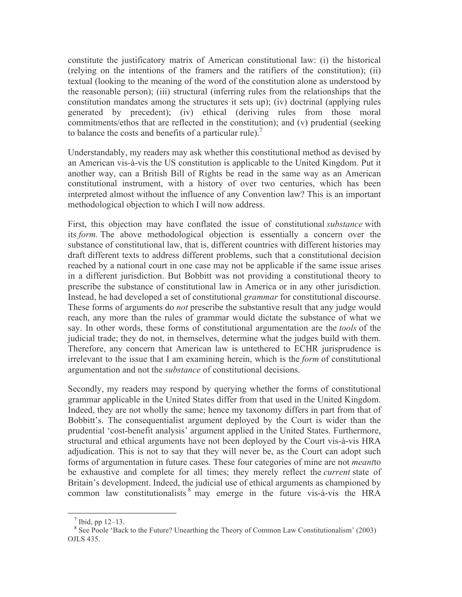constitute the justificatory matrix of American constitutional law: (i) the historical (relying on the intentions of the framers and the ratifiers of the constitution); (ii) textual (looking to the meaning of the word of the constitution alone as understood by the reasonable person); (iii) structural (inferring rules from the relationships that the constitution mandates among the structures it sets up); (iv) doctrinal (applying rules generated by precedent); (iv) ethical (deriving rules from those moral commitments/ethos that are reflected in the constitution); and (v) prudential (seeking to balance the costs and benefits of a particular rule).<sup>7</sup>

Understandably, my readers may ask whether this constitutional method as devised by an American vis-à-vis the US constitution is applicable to the United Kingdom. Put it another way, can a British Bill of Rights be read in the same way as an American constitutional instrument, with a history of over two centuries, which has been interpreted almost without the influence of any Convention law? This is an important methodological objection to which I will now address.

First, this objection may have conflated the issue of constitutional *substance* with its *form.* The above methodological objection is essentially a concern over the substance of constitutional law, that is, different countries with different histories may draft different texts to address different problems, such that a constitutional decision reached by a national court in one case may not be applicable if the same issue arises in a different jurisdiction. But Bobbitt was not providing a constitutional theory to prescribe the substance of constitutional law in America or in any other jurisdiction. Instead, he had developed a set of constitutional *grammar* for constitutional discourse. These forms of arguments do *not* prescribe the substantive result that any judge would reach, any more than the rules of grammar would dictate the substance of what we say. In other words, these forms of constitutional argumentation are the *tools* of the judicial trade; they do not, in themselves, determine what the judges build with them. Therefore, any concern that American law is untethered to ECHR jurisprudence is irrelevant to the issue that I am examining herein, which is the *form* of constitutional argumentation and not the *substance* of constitutional decisions.

Secondly, my readers may respond by querying whether the forms of constitutional grammar applicable in the United States differ from that used in the United Kingdom. Indeed, they are not wholly the same; hence my taxonomy differs in part from that of Bobbitt's. The consequentialist argument deployed by the Court is wider than the prudential 'cost-benefit analysis' argument applied in the United States. Furthermore, structural and ethical arguments have not been deployed by the Court vis-à-vis HRA adjudication. This is not to say that they will never be, as the Court can adopt such forms of argumentation in future cases. These four categories of mine are not *meant*to be exhaustive and complete for all times; they merely reflect the *current* state of Britain's development. Indeed, the judicial use of ethical arguments as championed by common law constitutionalists  $\delta$  may emerge in the future vis-à-vis the HRA

<sup>&</sup>lt;sup>7</sup> Ibid, pp 12–13.<br><sup>8</sup> See Poole 'Back to the Future? Unearthing the Theory of Common Law Constitutionalism' (2003) OJLS 435.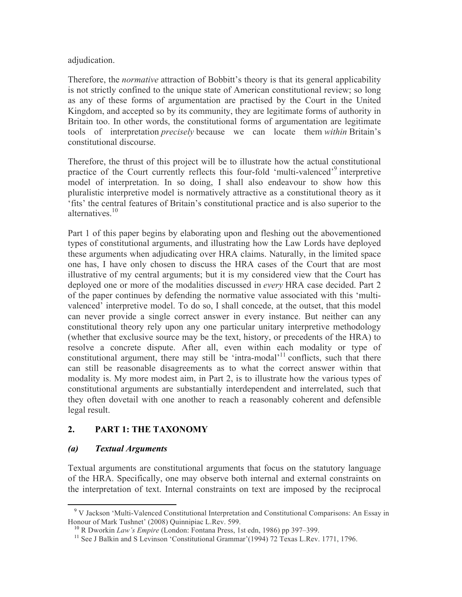#### adjudication.

Therefore, the *normative* attraction of Bobbitt's theory is that its general applicability is not strictly confined to the unique state of American constitutional review; so long as any of these forms of argumentation are practised by the Court in the United Kingdom, and accepted so by its community, they are legitimate forms of authority in Britain too. In other words, the constitutional forms of argumentation are legitimate tools of interpretation *precisely* because we can locate them *within* Britain's constitutional discourse.

Therefore, the thrust of this project will be to illustrate how the actual constitutional practice of the Court currently reflects this four-fold 'multi-valenced'<sup>9</sup> interpretive model of interpretation. In so doing, I shall also endeavour to show how this pluralistic interpretive model is normatively attractive as a constitutional theory as it 'fits' the central features of Britain's constitutional practice and is also superior to the alternatives $10$ 

Part 1 of this paper begins by elaborating upon and fleshing out the abovementioned types of constitutional arguments, and illustrating how the Law Lords have deployed these arguments when adjudicating over HRA claims. Naturally, in the limited space one has, I have only chosen to discuss the HRA cases of the Court that are most illustrative of my central arguments; but it is my considered view that the Court has deployed one or more of the modalities discussed in *every* HRA case decided. Part 2 of the paper continues by defending the normative value associated with this 'multivalenced' interpretive model. To do so, I shall concede, at the outset, that this model can never provide a single correct answer in every instance. But neither can any constitutional theory rely upon any one particular unitary interpretive methodology (whether that exclusive source may be the text, history, or precedents of the HRA) to resolve a concrete dispute. After all, even within each modality or type of constitutional argument, there may still be 'intra-modal'<sup>11</sup> conflicts, such that there can still be reasonable disagreements as to what the correct answer within that modality is. My more modest aim, in Part 2, is to illustrate how the various types of constitutional arguments are substantially interdependent and interrelated, such that they often dovetail with one another to reach a reasonably coherent and defensible legal result.

# **2. PART 1: THE TAXONOMY**

## *(a) Textual Arguments*

<u> 1989 - Johann Stein, markin film yn y breninn y breninn y breninn y breninn y breninn y breninn y breninn y b</u>

Textual arguments are constitutional arguments that focus on the statutory language of the HRA. Specifically, one may observe both internal and external constraints on the interpretation of text. Internal constraints on text are imposed by the reciprocal

<sup>9</sup> V Jackson 'Multi-Valenced Constitutional Interpretation and Constitutional Comparisons: An Essay in Honour of Mark Tushnet' (2008) Quinnipiac L.Rev. 599.<br><sup>10</sup> R Dworkin *Law's Empire* (London: Fontana Press, 1st edn, 1986) pp 397–399.<br><sup>11</sup> See J Balkin and S Levinson 'Constitutional Grammar'(1994) 72 Texas L.Rev. 1771, 1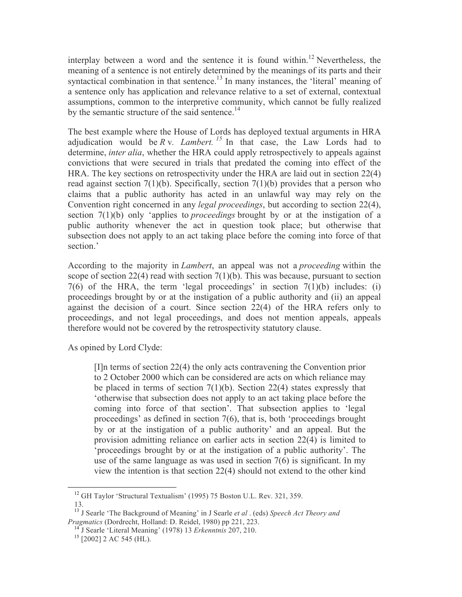interplay between a word and the sentence it is found within.<sup>12</sup> Nevertheless, the meaning of a sentence is not entirely determined by the meanings of its parts and their syntactical combination in that sentence.<sup>13</sup> In many instances, the 'literal' meaning of a sentence only has application and relevance relative to a set of external, contextual assumptions, common to the interpretive community, which cannot be fully realized by the semantic structure of the said sentence.<sup>14</sup>

The best example where the House of Lords has deployed textual arguments in HRA adjudication would be  $R$  v. *Lambert.* <sup>15</sup> In that case, the Law Lords had to determine, *inter alia*, whether the HRA could apply retrospectively to appeals against convictions that were secured in trials that predated the coming into effect of the HRA. The key sections on retrospectivity under the HRA are laid out in section 22(4) read against section  $7(1)(b)$ . Specifically, section  $7(1)(b)$  provides that a person who claims that a public authority has acted in an unlawful way may rely on the Convention right concerned in any *legal proceedings*, but according to section 22(4), section 7(1)(b) only 'applies to *proceedings* brought by or at the instigation of a public authority whenever the act in question took place; but otherwise that subsection does not apply to an act taking place before the coming into force of that section.'

According to the majority in *Lambert*, an appeal was not a *proceeding* within the scope of section  $22(4)$  read with section  $7(1)(b)$ . This was because, pursuant to section  $7(6)$  of the HRA, the term 'legal proceedings' in section  $7(1)(b)$  includes: (i) proceedings brought by or at the instigation of a public authority and (ii) an appeal against the decision of a court. Since section 22(4) of the HRA refers only to proceedings, and not legal proceedings, and does not mention appeals, appeals therefore would not be covered by the retrospectivity statutory clause.

As opined by Lord Clyde:

[I]n terms of section 22(4) the only acts contravening the Convention prior to 2 October 2000 which can be considered are acts on which reliance may be placed in terms of section  $7(1)(b)$ . Section 22(4) states expressly that 'otherwise that subsection does not apply to an act taking place before the coming into force of that section'. That subsection applies to 'legal proceedings' as defined in section 7(6), that is, both 'proceedings brought by or at the instigation of a public authority' and an appeal. But the provision admitting reliance on earlier acts in section 22(4) is limited to 'proceedings brought by or at the instigation of a public authority'. The use of the same language as was used in section 7(6) is significant. In my view the intention is that section 22(4) should not extend to the other kind

<sup>&</sup>lt;sup>12</sup> GH Taylor 'Structural Textualism' (1995) 75 Boston U.L. Rev. 321, 359.

<sup>&</sup>lt;sup>13</sup> J Searle 'The Background of Meaning' in J Searle *et al* . (eds) *Speech Act Theory and Pragmatics* (Dordrecht, Holland: D. Reidel, 1980) pp 221, 223.

<sup>&</sup>lt;sup>14</sup> J Searle 'Literal Meaning' (1978) 13 *Erkenntnis* 207, 210. <sup>15</sup> [2002] 2 AC 545 (HL).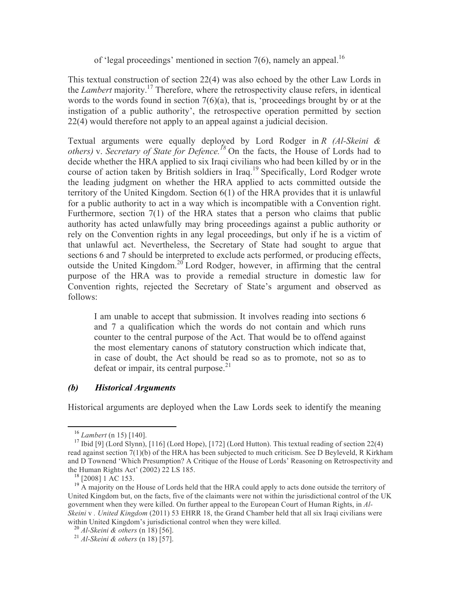of 'legal proceedings' mentioned in section  $7(6)$ , namely an appeal.<sup>16</sup>

This textual construction of section 22(4) was also echoed by the other Law Lords in the *Lambert* majority.17 Therefore, where the retrospectivity clause refers, in identical words to the words found in section  $7(6)(a)$ , that is, 'proceedings brought by or at the instigation of a public authority', the retrospective operation permitted by section 22(4) would therefore not apply to an appeal against a judicial decision.

Textual arguments were equally deployed by Lord Rodger in *R (Al-Skeini & others)* v. *Secretary of State for Defence.18* On the facts, the House of Lords had to decide whether the HRA applied to six Iraqi civilians who had been killed by or in the course of action taken by British soldiers in Iraq.<sup>19</sup> Specifically, Lord Rodger wrote the leading judgment on whether the HRA applied to acts committed outside the territory of the United Kingdom. Section 6(1) of the HRA provides that it is unlawful for a public authority to act in a way which is incompatible with a Convention right. Furthermore, section 7(1) of the HRA states that a person who claims that public authority has acted unlawfully may bring proceedings against a public authority or rely on the Convention rights in any legal proceedings, but only if he is a victim of that unlawful act. Nevertheless, the Secretary of State had sought to argue that sections 6 and 7 should be interpreted to exclude acts performed, or producing effects, outside the United Kingdom.<sup>20</sup> Lord Rodger, however, in affirming that the central purpose of the HRA was to provide a remedial structure in domestic law for Convention rights, rejected the Secretary of State's argument and observed as follows:

I am unable to accept that submission. It involves reading into sections 6 and 7 a qualification which the words do not contain and which runs counter to the central purpose of the Act. That would be to offend against the most elementary canons of statutory construction which indicate that, in case of doubt, the Act should be read so as to promote, not so as to defeat or impair, its central purpose. $2<sup>1</sup>$ 

## *(b) Historical Arguments*

<u> 1989 - Johann Stein, markin film yn y breninn y breninn y breninn y breninn y breninn y breninn y breninn y b</u>

Historical arguments are deployed when the Law Lords seek to identify the meaning

<sup>&</sup>lt;sup>16</sup> *Lambert* (n 15) [140].<br><sup>17</sup> Ibid [9] (Lord Slynn), [116] (Lord Hope), [172] (Lord Hutton). This textual reading of section 22(4) read against section 7(1)(b) of the HRA has been subjected to much criticism. See D Beyleveld, R Kirkham and D Townend 'Which Presumption? A Critique of the House of Lords' Reasoning on Retrospectivity and

the Human Rights Act' (2002) 22 LS 185.<br><sup>18</sup> [2008] 1 AC 153. <sup>19</sup> A majority on the House of Lords held that the HRA could apply to acts done outside the territory of United Kingdom but, on the facts, five of the claimants were not within the jurisdictional control of the UK government when they were killed. On further appeal to the European Court of Human Rights, in *Al-Skeini* v *. United Kingdom* (2011) 53 EHRR 18, the Grand Chamber held that all six Iraqi civilians were within United Kingdom's jurisdictional control when they were killed. <sup>20</sup> *Al-Skeini & others* (n 18) [56]. <sup>21</sup> *Al-Skeini & others* (n 18) [57].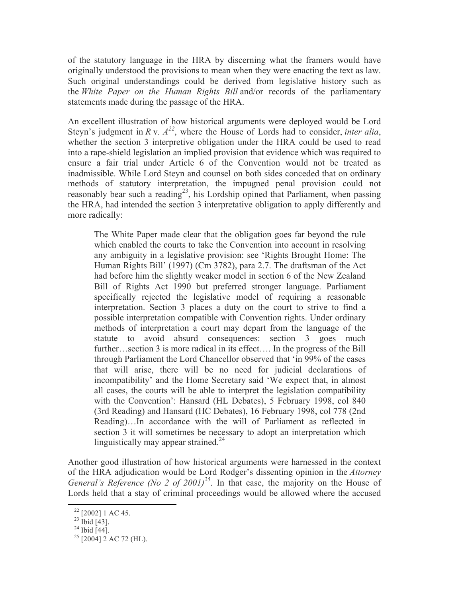of the statutory language in the HRA by discerning what the framers would have originally understood the provisions to mean when they were enacting the text as law. Such original understandings could be derived from legislative history such as the *White Paper on the Human Rights Bill* and/or records of the parliamentary statements made during the passage of the HRA.

An excellent illustration of how historical arguments were deployed would be Lord Steyn's judgment in *R* v.  $A^{22}$ , where the House of Lords had to consider, *inter alia*, whether the section 3 interpretive obligation under the HRA could be used to read into a rape-shield legislation an implied provision that evidence which was required to ensure a fair trial under Article 6 of the Convention would not be treated as inadmissible. While Lord Steyn and counsel on both sides conceded that on ordinary methods of statutory interpretation, the impugned penal provision could not reasonably bear such a reading<sup>23</sup>, his Lordship opined that Parliament, when passing the HRA, had intended the section 3 interpretative obligation to apply differently and more radically:

The White Paper made clear that the obligation goes far beyond the rule which enabled the courts to take the Convention into account in resolving any ambiguity in a legislative provision: see 'Rights Brought Home: The Human Rights Bill' (1997) (Cm 3782), para 2.7. The draftsman of the Act had before him the slightly weaker model in section 6 of the New Zealand Bill of Rights Act 1990 but preferred stronger language. Parliament specifically rejected the legislative model of requiring a reasonable interpretation. Section 3 places a duty on the court to strive to find a possible interpretation compatible with Convention rights. Under ordinary methods of interpretation a court may depart from the language of the statute to avoid absurd consequences: section 3 goes much further…section 3 is more radical in its effect…. In the progress of the Bill through Parliament the Lord Chancellor observed that 'in 99% of the cases that will arise, there will be no need for judicial declarations of incompatibility' and the Home Secretary said 'We expect that, in almost all cases, the courts will be able to interpret the legislation compatibility with the Convention': Hansard (HL Debates), 5 February 1998, col 840 (3rd Reading) and Hansard (HC Debates), 16 February 1998, col 778 (2nd Reading)…In accordance with the will of Parliament as reflected in section 3 it will sometimes be necessary to adopt an interpretation which linguistically may appear strained. $^{24}$ 

Another good illustration of how historical arguments were harnessed in the context of the HRA adjudication would be Lord Rodger's dissenting opinion in the *Attorney General's Reference (No 2 of 2001)<sup>25</sup>*. In that case, the majority on the House of Lords held that a stay of criminal proceedings would be allowed where the accused

<sup>&</sup>lt;sup>22</sup> [2002] 1 AC 45.<br><sup>23</sup> Ibid [43].<br><sup>24</sup> Ibid [44].<br><sup>25</sup> [2004] 2 AC 72 (HL).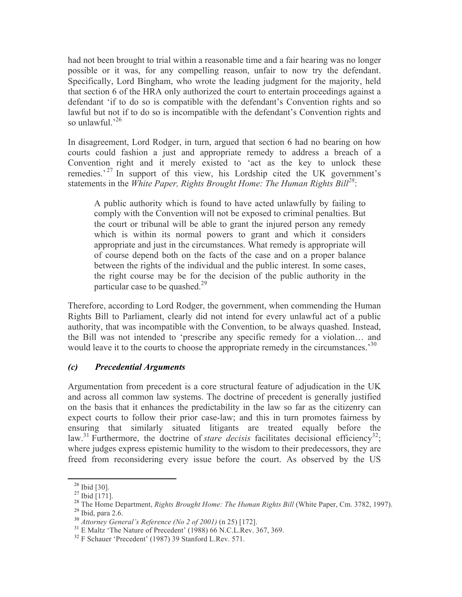had not been brought to trial within a reasonable time and a fair hearing was no longer possible or it was, for any compelling reason, unfair to now try the defendant. Specifically, Lord Bingham, who wrote the leading judgment for the majority, held that section 6 of the HRA only authorized the court to entertain proceedings against a defendant 'if to do so is compatible with the defendant's Convention rights and so lawful but not if to do so is incompatible with the defendant's Convention rights and so unlawful.<sup>26</sup>

In disagreement, Lord Rodger, in turn, argued that section 6 had no bearing on how courts could fashion a just and appropriate remedy to address a breach of a Convention right and it merely existed to 'act as the key to unlock these remedies.<sup>27</sup> In support of this view, his Lordship cited the UK government's statements in the *White Paper, Rights Brought Home: The Human Rights Bill<sup>28</sup>*:

A public authority which is found to have acted unlawfully by failing to comply with the Convention will not be exposed to criminal penalties. But the court or tribunal will be able to grant the injured person any remedy which is within its normal powers to grant and which it considers appropriate and just in the circumstances. What remedy is appropriate will of course depend both on the facts of the case and on a proper balance between the rights of the individual and the public interest. In some cases, the right course may be for the decision of the public authority in the particular case to be quashed. $^{29}$ 

Therefore, according to Lord Rodger, the government, when commending the Human Rights Bill to Parliament, clearly did not intend for every unlawful act of a public authority, that was incompatible with the Convention, to be always quashed. Instead, the Bill was not intended to 'prescribe any specific remedy for a violation… and would leave it to the courts to choose the appropriate remedy in the circumstances.<sup>30</sup>

#### *(c) Precedential Arguments*

Argumentation from precedent is a core structural feature of adjudication in the UK and across all common law systems. The doctrine of precedent is generally justified on the basis that it enhances the predictability in the law so far as the citizenry can expect courts to follow their prior case-law; and this in turn promotes fairness by ensuring that similarly situated litigants are treated equally before the law.<sup>31</sup> Furthermore, the doctrine of *stare decisis* facilitates decisional efficiency<sup>32</sup>; where judges express epistemic humility to the wisdom to their predecessors, they are freed from reconsidering every issue before the court. As observed by the US

<sup>&</sup>lt;u> 1989 - Johann Stein, markin film yn y breninn y breninn y breninn y breninn y breninn y breninn y breninn y b</u>

<sup>&</sup>lt;sup>26</sup> Ibid [30].<br>
<sup>27</sup> Ibid [171].<br>
<sup>28</sup> The Home Department, *Rights Brought Home: The Human Rights Bill* (White Paper, Cm. 3782, 1997).<br>
<sup>29</sup> Ibid, para 2.6.<br>
<sup>30</sup> *Attorney General's Reference (No 2 of 2001)* (n 25) [17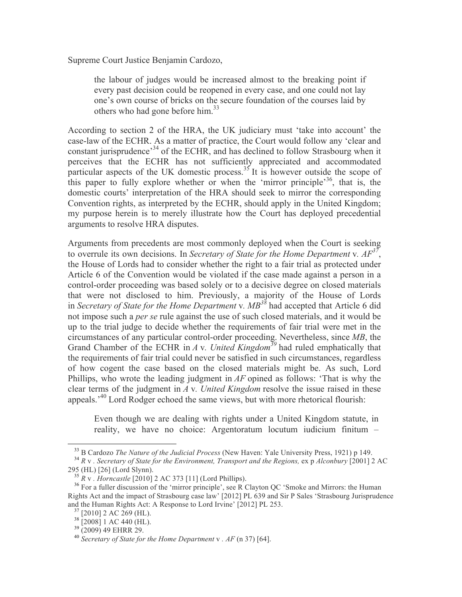Supreme Court Justice Benjamin Cardozo,

the labour of judges would be increased almost to the breaking point if every past decision could be reopened in every case, and one could not lay one's own course of bricks on the secure foundation of the courses laid by others who had gone before him.<sup>33</sup>

According to section 2 of the HRA, the UK judiciary must 'take into account' the case-law of the ECHR. As a matter of practice, the Court would follow any 'clear and constant jurisprudence<sup>34</sup> of the ECHR, and has declined to follow Strasbourg when it perceives that the ECHR has not sufficiently appreciated and accommodated particular aspects of the UK domestic process.<sup>35</sup> It is however outside the scope of this paper to fully explore whether or when the 'mirror principle'<sup>36</sup>, that is, the domestic courts' interpretation of the HRA should seek to mirror the corresponding Convention rights, as interpreted by the ECHR, should apply in the United Kingdom; my purpose herein is to merely illustrate how the Court has deployed precedential arguments to resolve HRA disputes.

Arguments from precedents are most commonly deployed when the Court is seeking to overrule its own decisions. In *Secretary of State for the Home Department* v*. AF37*, the House of Lords had to consider whether the right to a fair trial as protected under Article 6 of the Convention would be violated if the case made against a person in a control-order proceeding was based solely or to a decisive degree on closed materials that were not disclosed to him. Previously, a majority of the House of Lords in *Secretary of State for the Home Department* v*. MB<sup>38</sup>* had accepted that Article 6 did not impose such a *per se* rule against the use of such closed materials, and it would be up to the trial judge to decide whether the requirements of fair trial were met in the circumstances of any particular control-order proceeding. Nevertheless, since *MB*, the Grand Chamber of the ECHR in *A* v*. United Kingdom<sup>39</sup>* had ruled emphatically that the requirements of fair trial could never be satisfied in such circumstances, regardless of how cogent the case based on the closed materials might be. As such, Lord Phillips, who wrote the leading judgment in *AF* opined as follows: 'That is why the clear terms of the judgment in *A* v*. United Kingdom* resolve the issue raised in these appeals.<sup>40</sup> Lord Rodger echoed the same views, but with more rhetorical flourish:

Even though we are dealing with rights under a United Kingdom statute, in reality, we have no choice: Argentoratum locutum iudicium finitum –

<sup>&</sup>lt;sup>33</sup> B Cardozo *The Nature of the Judicial Process* (New Haven: Yale University Press, 1921) p 149.<br><sup>34</sup> R v . Secretary of State for the Environment, Transport and the Regions, ex p Alconbury [2001] 2 AC 295 (HL) [26] (Lord Slynn). <sup>35</sup> *<sup>R</sup>* <sup>v</sup> *. Horncastle* [2010] 2 AC 373 [11] (Lord Phillips). <sup>36</sup> For a fuller discussion of the 'mirror principle', see R Clayton QC 'Smoke and Mirrors: the Human

Rights Act and the impact of Strasbourg case law' [2012] PL 639 and Sir P Sales 'Strasbourg Jurisprudence and the Human Rights Act: A Response to Lord Irvine' [2012] PL 253.<br><sup>37</sup> [2010] 2 AC 269 (HL).<br><sup>38</sup> [2008] 1 AC 440 (HL).<br><sup>39</sup> (2009) 49 EHRR 29.<br><sup>40</sup> Secretary of State for the Home Department v. AF (n 37) [64].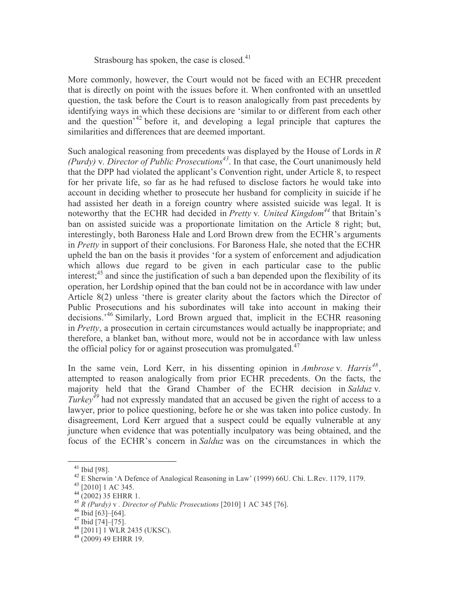Strasbourg has spoken, the case is closed. $41$ 

More commonly, however, the Court would not be faced with an ECHR precedent that is directly on point with the issues before it. When confronted with an unsettled question, the task before the Court is to reason analogically from past precedents by identifying ways in which these decisions are 'similar to or different from each other and the question<sup>342</sup> before it, and developing a legal principle that captures the similarities and differences that are deemed important.

Such analogical reasoning from precedents was displayed by the House of Lords in *R (Purdy)* v*. Director of Public Prosecutions <sup>43</sup>*. In that case, the Court unanimously held that the DPP had violated the applicant's Convention right, under Article 8, to respect for her private life, so far as he had refused to disclose factors he would take into account in deciding whether to prosecute her husband for complicity in suicide if he had assisted her death in a foreign country where assisted suicide was legal. It is noteworthy that the ECHR had decided in *Pretty* v. *United Kingdom*<sup>44</sup> that Britain's ban on assisted suicide was a proportionate limitation on the Article 8 right; but, interestingly, both Baroness Hale and Lord Brown drew from the ECHR's arguments in *Pretty* in support of their conclusions. For Baroness Hale, she noted that the ECHR upheld the ban on the basis it provides 'for a system of enforcement and adjudication which allows due regard to be given in each particular case to the public interest;<sup>45</sup> and since the justification of such a ban depended upon the flexibility of its operation, her Lordship opined that the ban could not be in accordance with law under Article 8(2) unless 'there is greater clarity about the factors which the Director of Public Prosecutions and his subordinates will take into account in making their decisions.'<sup>46</sup> Similarly, Lord Brown argued that, implicit in the ECHR reasoning in *Pretty*, a prosecution in certain circumstances would actually be inappropriate; and therefore, a blanket ban, without more, would not be in accordance with law unless the official policy for or against prosecution was promulgated.<sup> $47$ </sup>

In the same vein, Lord Kerr, in his dissenting opinion in *Ambrose* v*. Harris<sup>48</sup>*, attempted to reason analogically from prior ECHR precedents. On the facts, the majority held that the Grand Chamber of the ECHR decision in *Salduz* v*. Turkey<sup>49</sup>* had not expressly mandated that an accused be given the right of access to a lawyer, prior to police questioning, before he or she was taken into police custody. In disagreement, Lord Kerr argued that a suspect could be equally vulnerable at any juncture when evidence that was potentially inculpatory was being obtained, and the focus of the ECHR's concern in *Salduz* was on the circumstances in which the

<sup>&</sup>lt;sup>41</sup> Ibid [98].<br>
<sup>42</sup> E Sherwin 'A Defence of Analogical Reasoning in Law' (1999) 66U. Chi. L.Rev. 1179, 1179.<br>
<sup>43</sup> [2010] 1 AC 345.<br>
<sup>44</sup> (2002) 35 EHRR 1.<br>
<sup>45</sup> R (*Purdy*) v . *Director of Public Prosecutions* [2010]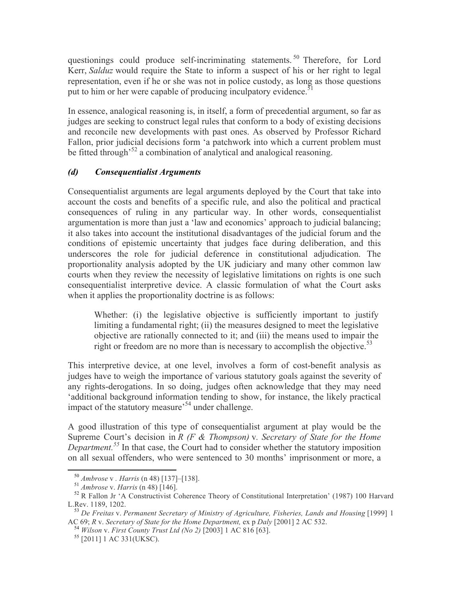questionings could produce self-incriminating statements.<sup>50</sup> Therefore, for Lord Kerr, *Salduz* would require the State to inform a suspect of his or her right to legal representation, even if he or she was not in police custody, as long as those questions put to him or her were capable of producing inculpatory evidence.<sup>51</sup>

In essence, analogical reasoning is, in itself, a form of precedential argument, so far as judges are seeking to construct legal rules that conform to a body of existing decisions and reconcile new developments with past ones. As observed by Professor Richard Fallon, prior judicial decisions form 'a patchwork into which a current problem must be fitted through<sup>52</sup> a combination of analytical and analogical reasoning.

# *(d) Consequentialist Arguments*

Consequentialist arguments are legal arguments deployed by the Court that take into account the costs and benefits of a specific rule, and also the political and practical consequences of ruling in any particular way. In other words, consequentialist argumentation is more than just a 'law and economics' approach to judicial balancing; it also takes into account the institutional disadvantages of the judicial forum and the conditions of epistemic uncertainty that judges face during deliberation, and this underscores the role for judicial deference in constitutional adjudication. The proportionality analysis adopted by the UK judiciary and many other common law courts when they review the necessity of legislative limitations on rights is one such consequentialist interpretive device. A classic formulation of what the Court asks when it applies the proportionality doctrine is as follows:

Whether: (i) the legislative objective is sufficiently important to justify limiting a fundamental right; (ii) the measures designed to meet the legislative objective are rationally connected to it; and (iii) the means used to impair the right or freedom are no more than is necessary to accomplish the objective.<sup>53</sup>

This interpretive device, at one level, involves a form of cost-benefit analysis as judges have to weigh the importance of various statutory goals against the severity of any rights-derogations. In so doing, judges often acknowledge that they may need 'additional background information tending to show, for instance, the likely practical impact of the statutory measure'<sup>54</sup> under challenge.

A good illustration of this type of consequentialist argument at play would be the Supreme Court's decision in *R (F & Thompson)* v*. Secretary of State for the Home Department.*<sup>55</sup> In that case, the Court had to consider whether the statutory imposition on all sexual offenders, who were sentenced to 30 months' imprisonment or more, a

<sup>&</sup>lt;sup>50</sup> *Ambrose* v *. Harris* (n 48) [137]–[138].<br><sup>51</sup> *Ambrose* v*. Harris* (n 48) [146].<br><sup>52</sup> R Fallon Jr 'A Constructivist Coherence Theory of Constitutional Interpretation' (1987) 100 Harvard<br>L.Rev. 1189, 1202.

L.Rev. 1189, 1202. <sup>53</sup> *De Freitas* v. *Permanent Secretary of Ministry of Agriculture, Fisheries, Lands and Housing* [1999] 1 AC 69; R v. Secretary of State for the Home Department, ex p Daly [2001] 2 AC 532.<br><sup>54</sup> Wilson v. First County Trust Ltd (No 2) [2003] 1 AC 816 [63].<br><sup>55</sup> [2011] 1 AC 331(UKSC).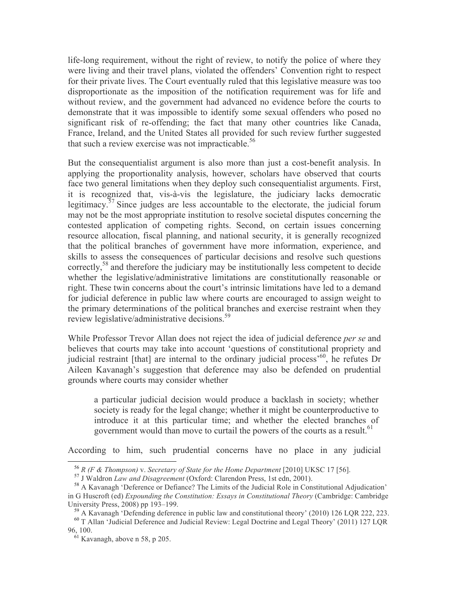life-long requirement, without the right of review, to notify the police of where they were living and their travel plans, violated the offenders' Convention right to respect for their private lives. The Court eventually ruled that this legislative measure was too disproportionate as the imposition of the notification requirement was for life and without review, and the government had advanced no evidence before the courts to demonstrate that it was impossible to identify some sexual offenders who posed no significant risk of re-offending; the fact that many other countries like Canada, France, Ireland, and the United States all provided for such review further suggested that such a review exercise was not impracticable.<sup>56</sup>

But the consequentialist argument is also more than just a cost-benefit analysis. In applying the proportionality analysis, however, scholars have observed that courts face two general limitations when they deploy such consequentialist arguments. First, it is recognized that, vis-à-vis the legislature, the judiciary lacks democratic legitimacy.<sup>57</sup> Since judges are less accountable to the electorate, the judicial forum may not be the most appropriate institution to resolve societal disputes concerning the contested application of competing rights. Second, on certain issues concerning resource allocation, fiscal planning, and national security, it is generally recognized that the political branches of government have more information, experience, and skills to assess the consequences of particular decisions and resolve such questions correctly,<sup>58</sup> and therefore the judiciary may be institutionally less competent to decide whether the legislative/administrative limitations are constitutionally reasonable or right. These twin concerns about the court's intrinsic limitations have led to a demand for judicial deference in public law where courts are encouraged to assign weight to the primary determinations of the political branches and exercise restraint when they review legislative/administrative decisions.<sup>59</sup>

While Professor Trevor Allan does not reject the idea of judicial deference *per se* and believes that courts may take into account 'questions of constitutional propriety and judicial restraint [that] are internal to the ordinary judicial process<sup>,60</sup>, he refutes Dr Aileen Kavanagh's suggestion that deference may also be defended on prudential grounds where courts may consider whether

a particular judicial decision would produce a backlash in society; whether society is ready for the legal change; whether it might be counterproductive to introduce it at this particular time; and whether the elected branches of government would than move to curtail the powers of the courts as a result.<sup>61</sup>

According to him, such prudential concerns have no place in any judicial

<sup>&</sup>lt;sup>56</sup> R (F & Thompson) v. Secretary of State for the Home Department [2010] UKSC 17 [56].

<sup>&</sup>lt;sup>57</sup> J Waldron *Law and Disagreement* (Oxford: Clarendon Press, 1st edn, 2001).<br><sup>58</sup> A Kavanagh 'Deference or Defiance? The Limits of the Judicial Role in Constitutional Adjudication' in G Huscroft (ed) *Expounding the Constitution: Essays in Constitutional Theory* (Cambridge: Cambridge

University Press, 2008) pp 193–199.<br><sup>59</sup> A Kavanagh 'Defending deference in public law and constitutional theory' (2010) 126 LQR 222, 223.<br><sup>60</sup> T Allan 'Judicial Deference and Judicial Review: Legal Doctrine and Legal Theo

<sup>96, 100.&</sup>lt;br><sup>61</sup> Kavanagh, above n 58, p 205.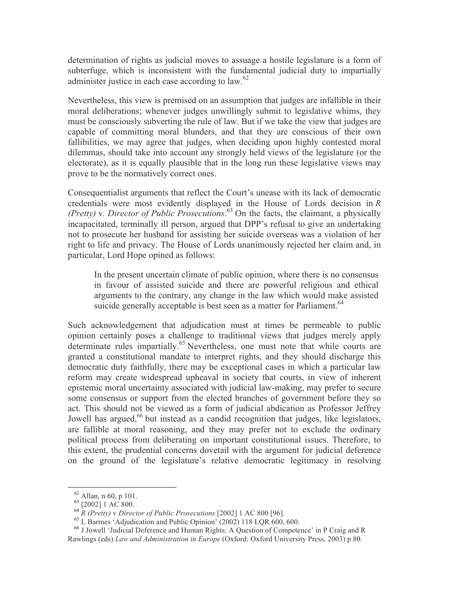determination of rights as judicial moves to assuage a hostile legislature is a form of subterfuge, which is inconsistent with the fundamental judicial duty to impartially administer justice in each case according to law.<sup>62</sup>

Nevertheless, this view is premised on an assumption that judges are infallible in their moral deliberations; whenever judges unwillingly submit to legislative whims, they must be consciously subverting the rule of law. But if we take the view that judges are capable of committing moral blunders, and that they are conscious of their own fallibilities, we may agree that judges, when deciding upon highly contested moral dilemmas, should take into account any strongly held views of the legislature (or the electorate), as it is equally plausible that in the long run these legislative views may prove to be the normatively correct ones.

Consequentialist arguments that reflect the Court's unease with its lack of democratic credentials were most evidently displayed in the House of Lords decision in *R (Pretty)* v*. Director of Public Prosecutions*. <sup>63</sup> On the facts, the claimant, a physically incapacitated, terminally ill person, argued that DPP's refusal to give an undertaking not to prosecute her husband for assisting her suicide overseas was a violation of her right to life and privacy. The House of Lords unanimously rejected her claim and, in particular, Lord Hope opined as follows:

In the present uncertain climate of public opinion, where there is no consensus in favour of assisted suicide and there are powerful religious and ethical arguments to the contrary, any change in the law which would make assisted suicide generally acceptable is best seen as a matter for Parliament.<sup>64</sup>

Such acknowledgement that adjudication must at times be permeable to public opinion certainly poses a challenge to traditional views that judges merely apply determinate rules impartially.<sup>65</sup> Nevertheless, one must note that while courts are granted a constitutional mandate to interpret rights, and they should discharge this democratic duty faithfully, there may be exceptional cases in which a particular law reform may create widespread upheaval in society that courts, in view of inherent epistemic moral uncertainty associated with judicial law-making, may prefer to secure some consensus or support from the elected branches of government before they so act. This should not be viewed as a form of judicial abdication as Professor Jeffrey Jowell has argued,<sup>66</sup> but instead as a candid recognition that judges, like legislators, are fallible at moral reasoning, and they may prefer not to exclude the ordinary political process from deliberating on important constitutional issues. Therefore, to this extent, the prudential concerns dovetail with the argument for judicial deference on the ground of the legislature's relative democratic legitimacy in resolving

<sup>&</sup>lt;sup>62</sup> Allan, n 60, p 101.<br>
<sup>63</sup> [2002] 1 AC 800.<br>
<sup>64</sup> *R (Pretty)* v *Director of Public Prosecutions* [2002] 1 AC 800 [96].<br>
<sup>65</sup> L Barmes 'Adjudication and Public Opinion' (2002) 118 LQR 600, 600.<br>
<sup>66</sup> J Jowell 'Judici Rawlings (eds) *Law and Administration in Europe* (Oxford: Oxford University Press, 2003) p 80.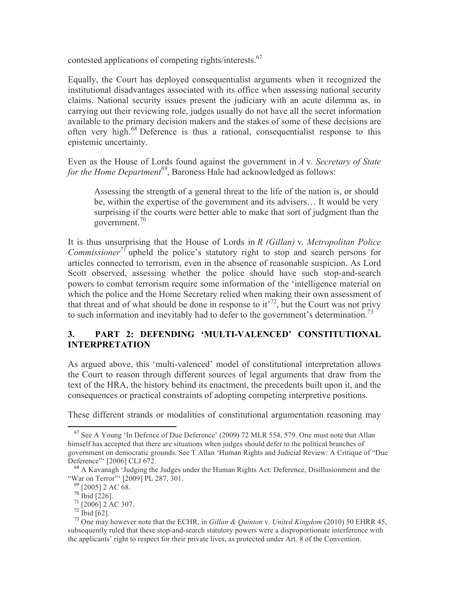contested applications of competing rights/interests.<sup>67</sup>

Equally, the Court has deployed consequentialist arguments when it recognized the institutional disadvantages associated with its office when assessing national security claims. National security issues present the judiciary with an acute dilemma as, in carrying out their reviewing role, judges usually do not have all the secret information available to the primary decision makers and the stakes of some of these decisions are often very high.<sup>68</sup> Deference is thus a rational, consequentialist response to this epistemic uncertainty.

Even as the House of Lords found against the government in *A* v*. Secretary of State for the Home Department*<sup>69</sup>, Baroness Hale had acknowledged as follows:

Assessing the strength of a general threat to the life of the nation is, or should be, within the expertise of the government and its advisers… It would be very surprising if the courts were better able to make that sort of judgment than the government. $70$ 

It is thus unsurprising that the House of Lords in *R (Gillan)* v*. Metropolitan Police Commissioner<sup>71</sup>* upheld the police's statutory right to stop and search persons for articles connected to terrorism, even in the absence of reasonable suspicion. As Lord Scott observed, assessing whether the police should have such stop-and-search powers to combat terrorism require some information of the 'intelligence material on which the police and the Home Secretary relied when making their own assessment of that threat and of what should be done in response to it<sup> $72$ </sup>, but the Court was not privy to such information and inevitably had to defer to the government's determination.<sup>73</sup>

## **3. PART 2: DEFENDING 'MULTI-VALENCED' CONSTITUTIONAL INTERPRETATION**

As argued above, this 'multi-valenced' model of constitutional interpretation allows the Court to reason through different sources of legal arguments that draw from the text of the HRA, the history behind its enactment, the precedents built upon it, and the consequences or practical constraints of adopting competing interpretive positions.

These different strands or modalities of constitutional argumentation reasoning may

<sup>&</sup>lt;sup>67</sup> See A Young 'In Defence of Due Deference' (2009) 72 MLR 554, 579. One must note that Allan himself has accepted that there are situations when judges should defer to the political branches of government on democratic grounds. See T Allan 'Human Rights and Judicial Review: A Critique of "Due

<sup>&</sup>lt;sup>68</sup> A Kavanagh 'Judging the Judges under the Human Rights Act: Deference, Disillusionment and the "War on Terror" [2009] PL 287, 301.<br>
<sup>69</sup> [2005] 2 AC 68.<br>
<sup>70</sup> Ibid [226].<br>
<sup>71</sup> [2006] 2 AC 307.<br>
<sup>72</sup> Ibid [62].<br>
<sup>73</sup> One may however note that the ECHR, in *Gillan & Quinton v. United Kingdom* (2010) 50 EHRR 45,

subsequently ruled that these stop-and-search statutory powers were a disproportionate interference with the applicants' right to respect for their private lives, as protected under Art. 8 of the Convention.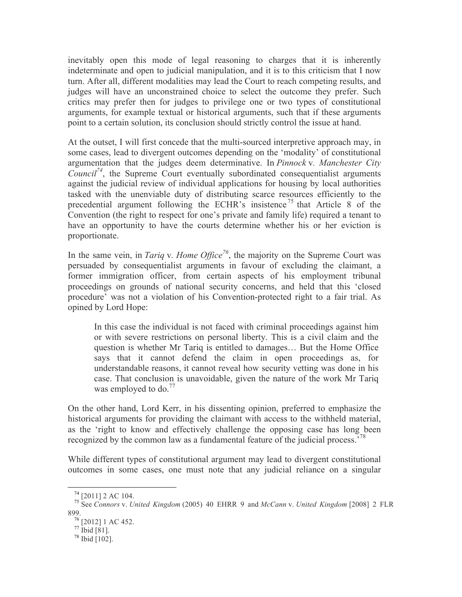inevitably open this mode of legal reasoning to charges that it is inherently indeterminate and open to judicial manipulation, and it is to this criticism that I now turn. After all, different modalities may lead the Court to reach competing results, and judges will have an unconstrained choice to select the outcome they prefer. Such critics may prefer then for judges to privilege one or two types of constitutional arguments, for example textual or historical arguments, such that if these arguments point to a certain solution, its conclusion should strictly control the issue at hand.

At the outset, I will first concede that the multi-sourced interpretive approach may, in some cases, lead to divergent outcomes depending on the 'modality' of constitutional argumentation that the judges deem determinative. In *Pinnock* v*. Manchester City Council74*, the Supreme Court eventually subordinated consequentialist arguments against the judicial review of individual applications for housing by local authorities tasked with the unenviable duty of distributing scarce resources efficiently to the precedential argument following the ECHR's insistence<sup>75</sup> that Article 8 of the Convention (the right to respect for one's private and family life) required a tenant to have an opportunity to have the courts determine whether his or her eviction is proportionate.

In the same vein, in *Tariq* v. *Home Office*<sup>76</sup>, the majority on the Supreme Court was persuaded by consequentialist arguments in favour of excluding the claimant, a former immigration officer, from certain aspects of his employment tribunal proceedings on grounds of national security concerns, and held that this 'closed procedure' was not a violation of his Convention-protected right to a fair trial. As opined by Lord Hope:

In this case the individual is not faced with criminal proceedings against him or with severe restrictions on personal liberty. This is a civil claim and the question is whether Mr Tariq is entitled to damages… But the Home Office says that it cannot defend the claim in open proceedings as, for understandable reasons, it cannot reveal how security vetting was done in his case. That conclusion is unavoidable, given the nature of the work Mr Tariq was employed to do. $^{77}$ 

On the other hand, Lord Kerr, in his dissenting opinion, preferred to emphasize the historical arguments for providing the claimant with access to the withheld material, as the 'right to know and effectively challenge the opposing case has long been recognized by the common law as a fundamental feature of the judicial process.<sup>78</sup>

While different types of constitutional argument may lead to divergent constitutional outcomes in some cases, one must note that any judicial reliance on a singular

<sup>74</sup> [2011] 2 AC 104. <sup>75</sup> See *Connors* v. *United Kingdom* (2005) 40 EHRR 9 and *McCann* v. *United Kingdom* [2008] 2 FLR

 $\frac{76}{77}$  [2012] 1 AC 452.<br>
<sup>77</sup> Ibid [81].<br>
<sup>78</sup> Ibid [102].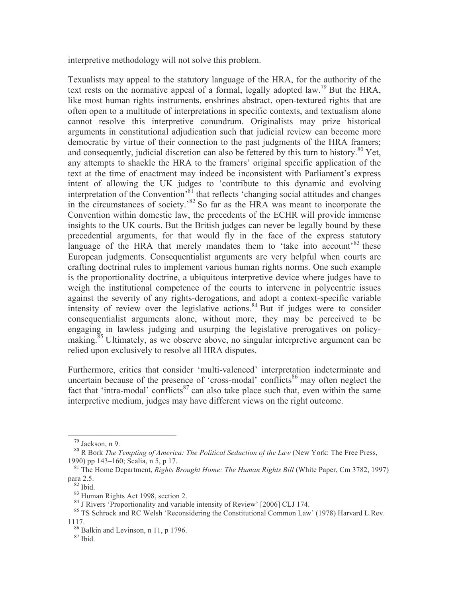interpretive methodology will not solve this problem.

Texualists may appeal to the statutory language of the HRA, for the authority of the text rests on the normative appeal of a formal, legally adopted law.79 But the HRA, like most human rights instruments, enshrines abstract, open-textured rights that are often open to a multitude of interpretations in specific contexts, and textualism alone cannot resolve this interpretive conundrum. Originalists may prize historical arguments in constitutional adjudication such that judicial review can become more democratic by virtue of their connection to the past judgments of the HRA framers; and consequently, judicial discretion can also be fettered by this turn to history.<sup>80</sup> Yet, any attempts to shackle the HRA to the framers' original specific application of the text at the time of enactment may indeed be inconsistent with Parliament's express intent of allowing the UK judges to 'contribute to this dynamic and evolving interpretation of the Convention'81 that reflects 'changing social attitudes and changes in the circumstances of society.' <sup>82</sup> So far as the HRA was meant to incorporate the Convention within domestic law, the precedents of the ECHR will provide immense insights to the UK courts. But the British judges can never be legally bound by these precedential arguments, for that would fly in the face of the express statutory language of the HRA that merely mandates them to 'take into account'<sup>83</sup> these European judgments. Consequentialist arguments are very helpful when courts are crafting doctrinal rules to implement various human rights norms. One such example is the proportionality doctrine, a ubiquitous interpretive device where judges have to weigh the institutional competence of the courts to intervene in polycentric issues against the severity of any rights-derogations, and adopt a context-specific variable intensity of review over the legislative actions.<sup>84</sup> But if judges were to consider consequentialist arguments alone, without more, they may be perceived to be engaging in lawless judging and usurping the legislative prerogatives on policymaking.<sup>85</sup> Ultimately, as we observe above, no singular interpretive argument can be relied upon exclusively to resolve all HRA disputes.

Furthermore, critics that consider 'multi-valenced' interpretation indeterminate and uncertain because of the presence of 'cross-modal' conflicts<sup>86</sup> may often neglect the fact that 'intra-modal' conflicts<sup>87</sup> can also take place such that, even within the same interpretive medium, judges may have different views on the right outcome.

<sup>79</sup> Jackson, n 9. <sup>80</sup> R Bork *The Tempting of America: The Political Seduction of the Law* (New York: The Free Press,

<sup>1990)</sup> pp 143–160; Scalia, n 5, p 17. <sup>81</sup> The Home Department, *Rights Brought Home: The Human Rights Bill* (White Paper, Cm 3782, 1997) para 2.5.<br><sup>82</sup> Ibid.<br><sup>83</sup> Human Rights Act 1998, section 2.<br><sup>84</sup> J Rivers 'Proportionality and variable intensity of Review' [2006] CLJ 174.<br><sup>85</sup> TS Schrock and RC Welsh 'Reconsidering the Constitutional Common Law' (1978)

<sup>1117.&</sup>lt;br><sup>86</sup> Balkin and Levinson, n 11, p 1796.<br><sup>87</sup> Ibid.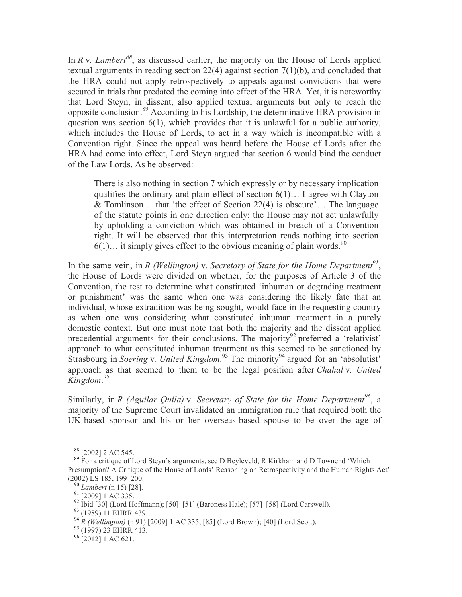In *R* v*. Lambert<sup>88</sup>*, as discussed earlier, the majority on the House of Lords applied textual arguments in reading section 22(4) against section 7(1)(b), and concluded that the HRA could not apply retrospectively to appeals against convictions that were secured in trials that predated the coming into effect of the HRA. Yet, it is noteworthy that Lord Steyn, in dissent, also applied textual arguments but only to reach the opposite conclusion.89 According to his Lordship, the determinative HRA provision in question was section 6(1), which provides that it is unlawful for a public authority, which includes the House of Lords, to act in a way which is incompatible with a Convention right. Since the appeal was heard before the House of Lords after the HRA had come into effect, Lord Steyn argued that section 6 would bind the conduct of the Law Lords. As he observed:

There is also nothing in section 7 which expressly or by necessary implication qualifies the ordinary and plain effect of section 6(1)… I agree with Clayton & Tomlinson… that 'the effect of Section 22(4) is obscure'… The language of the statute points in one direction only: the House may not act unlawfully by upholding a conviction which was obtained in breach of a Convention right. It will be observed that this interpretation reads nothing into section  $6(1)$ … it simply gives effect to the obvious meaning of plain words.<sup>90</sup>

In the same vein, in *R (Wellington)* v. Secretary of State for the Home Department<sup>91</sup>, the House of Lords were divided on whether, for the purposes of Article 3 of the Convention, the test to determine what constituted 'inhuman or degrading treatment or punishment' was the same when one was considering the likely fate that an individual, whose extradition was being sought, would face in the requesting country as when one was considering what constituted inhuman treatment in a purely domestic context. But one must note that both the majority and the dissent applied precedential arguments for their conclusions. The majority<sup>92</sup> preferred a 'relativist' approach to what constituted inhuman treatment as this seemed to be sanctioned by Strasbourg in *Soering* v. United Kingdom.<sup>93</sup> The minority<sup>94</sup> argued for an 'absolutist' approach as that seemed to them to be the legal position after *Chahal* v*. United Kingdom*. 95

Similarly, in *R (Aguilar Quila)* v*. Secretary of State for the Home Department<sup>96</sup>*, a majority of the Supreme Court invalidated an immigration rule that required both the UK-based sponsor and his or her overseas-based spouse to be over the age of

<sup>&</sup>lt;sup>88</sup> [2002] 2 AC 545. **89** For a critique of Lord Steyn's arguments, see D Beyleveld, R Kirkham and D Townend 'Which Presumption? A Critique of the House of Lords' Reasoning on Retrospectivity and the Human Rights Act'

<sup>(2002)</sup> LS 185, 199–200.<br>
<sup>90</sup> Lambert (n 15) [28].<br>
<sup>91</sup> [2009] 1 AC 335.<br>
<sup>92</sup> Ibid [30] (Lord Hoffmann); [50]–[51] (Baroness Hale); [57]–[58] (Lord Carswell).<br>
<sup>93</sup> (1989) 11 EHRR 439.<br>
<sup>94</sup> R (Wellington) (n 91) [2009]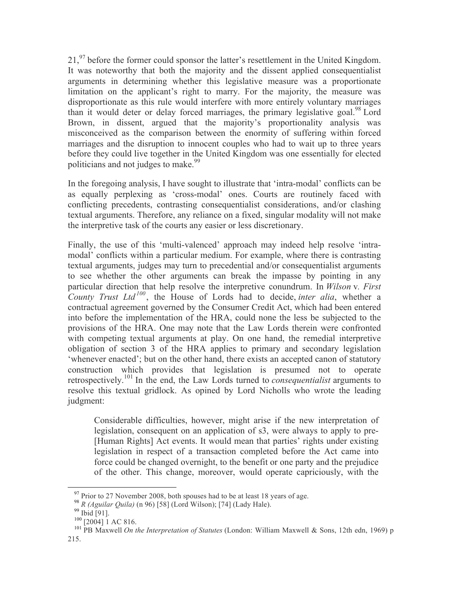21,<sup>97</sup> before the former could sponsor the latter's resettlement in the United Kingdom. It was noteworthy that both the majority and the dissent applied consequentialist arguments in determining whether this legislative measure was a proportionate limitation on the applicant's right to marry. For the majority, the measure was disproportionate as this rule would interfere with more entirely voluntary marriages than it would deter or delay forced marriages, the primary legislative goal.<sup>98</sup> Lord Brown, in dissent, argued that the majority's proportionality analysis was misconceived as the comparison between the enormity of suffering within forced marriages and the disruption to innocent couples who had to wait up to three years before they could live together in the United Kingdom was one essentially for elected politicians and not judges to make.<sup>99</sup>

In the foregoing analysis, I have sought to illustrate that 'intra-modal' conflicts can be as equally perplexing as 'cross-modal' ones. Courts are routinely faced with conflicting precedents, contrasting consequentialist considerations, and/or clashing textual arguments. Therefore, any reliance on a fixed, singular modality will not make the interpretive task of the courts any easier or less discretionary.

Finally, the use of this 'multi-valenced' approach may indeed help resolve 'intramodal' conflicts within a particular medium. For example, where there is contrasting textual arguments, judges may turn to precedential and/or consequentialist arguments to see whether the other arguments can break the impasse by pointing in any particular direction that help resolve the interpretive conundrum. In *Wilson* v*. First County Trust Ltd<sup>100</sup>* , the House of Lords had to decide, *inter alia*, whether a contractual agreement governed by the Consumer Credit Act, which had been entered into before the implementation of the HRA, could none the less be subjected to the provisions of the HRA. One may note that the Law Lords therein were confronted with competing textual arguments at play. On one hand, the remedial interpretive obligation of section 3 of the HRA applies to primary and secondary legislation 'whenever enacted'; but on the other hand, there exists an accepted canon of statutory construction which provides that legislation is presumed not to operate retrospectively.<sup>101</sup> In the end, the Law Lords turned to *consequentialist* arguments to resolve this textual gridlock. As opined by Lord Nicholls who wrote the leading judgment:

Considerable difficulties, however, might arise if the new interpretation of legislation, consequent on an application of s3, were always to apply to pre- [Human Rights] Act events. It would mean that parties' rights under existing legislation in respect of a transaction completed before the Act came into force could be changed overnight, to the benefit or one party and the prejudice of the other. This change, moreover, would operate capriciously, with the

<sup>&</sup>lt;sup>97</sup> Prior to 27 November 2008, both spouses had to be at least 18 years of age.<br><sup>98</sup> R (Aguilar Quila) (n 96) [58] (Lord Wilson); [74] (Lady Hale).<br><sup>99</sup> Ibid [91].<br><sup>100</sup> [2004] 1 AC 816.<br><sup>101</sup> PB Maxwell *On the Interpre* 215.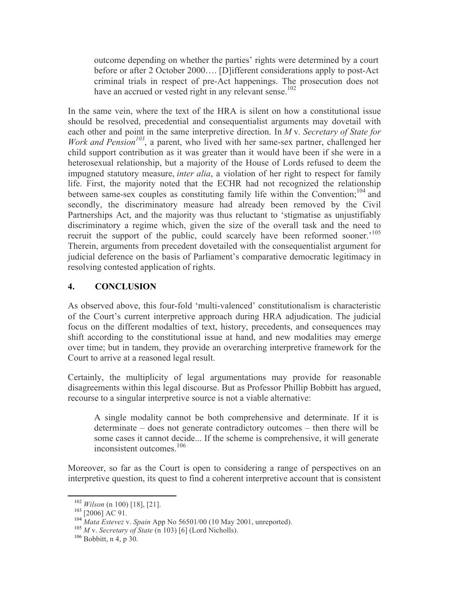outcome depending on whether the parties' rights were determined by a court before or after 2 October 2000…. [D]ifferent considerations apply to post-Act criminal trials in respect of pre-Act happenings. The prosecution does not have an accrued or vested right in any relevant sense.<sup>102</sup>

In the same vein, where the text of the HRA is silent on how a constitutional issue should be resolved, precedential and consequentialist arguments may dovetail with each other and point in the same interpretive direction. In *M* v*. Secretary of State for Work and Pension<sup>103</sup>*, a parent, who lived with her same-sex partner, challenged her child support contribution as it was greater than it would have been if she were in a heterosexual relationship, but a majority of the House of Lords refused to deem the impugned statutory measure, *inter alia*, a violation of her right to respect for family life. First, the majority noted that the ECHR had not recognized the relationship between same-sex couples as constituting family life within the Convention;<sup>104</sup> and secondly, the discriminatory measure had already been removed by the Civil Partnerships Act, and the majority was thus reluctant to 'stigmatise as unjustifiably discriminatory a regime which, given the size of the overall task and the need to recruit the support of the public, could scarcely have been reformed sooner.<sup>105</sup> Therein, arguments from precedent dovetailed with the consequentialist argument for judicial deference on the basis of Parliament's comparative democratic legitimacy in resolving contested application of rights.

## **4. CONCLUSION**

As observed above, this four-fold 'multi-valenced' constitutionalism is characteristic of the Court's current interpretive approach during HRA adjudication. The judicial focus on the different modalties of text, history, precedents, and consequences may shift according to the constitutional issue at hand, and new modalities may emerge over time; but in tandem, they provide an overarching interpretive framework for the Court to arrive at a reasoned legal result.

Certainly, the multiplicity of legal argumentations may provide for reasonable disagreements within this legal discourse. But as Professor Phillip Bobbitt has argued, recourse to a singular interpretive source is not a viable alternative:

A single modality cannot be both comprehensive and determinate. If it is determinate – does not generate contradictory outcomes – then there will be some cases it cannot decide... If the scheme is comprehensive, it will generate inconsistent outcomes.<sup>106</sup>

Moreover, so far as the Court is open to considering a range of perspectives on an interpretive question, its quest to find a coherent interpretive account that is consistent

 $102$  Wilson (n 100) [18], [21].

<sup>&</sup>lt;sup>103</sup> [2006] AC 91.<br>
<sup>104</sup> *Mata Estevez v. Spain* App No 56501/00 (10 May 2001, unreported).<br>
<sup>105</sup> *M v. Secretary of State* (n 103) [6] (Lord Nicholls).<br>
<sup>106</sup> Bobbitt, n 4, p 30.